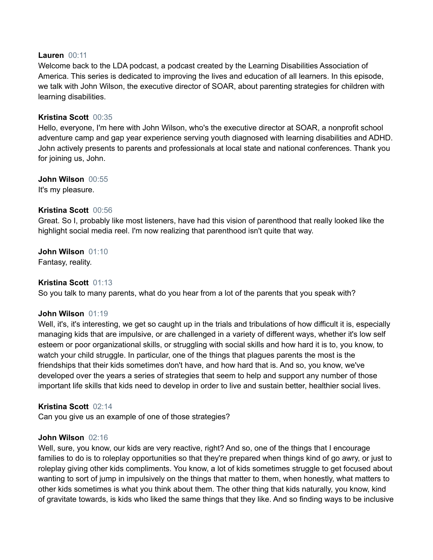### **Lauren** 00:11

Welcome back to the LDA podcast, a podcast created by the Learning Disabilities Association of America. This series is dedicated to improving the lives and education of all learners. In this episode, we talk with John Wilson, the executive director of SOAR, about parenting strategies for children with learning disabilities.

## **Kristina Scott** 00:35

Hello, everyone, I'm here with John Wilson, who's the executive director at SOAR, a nonprofit school adventure camp and gap year experience serving youth diagnosed with learning disabilities and ADHD. John actively presents to parents and professionals at local state and national conferences. Thank you for joining us, John.

**John Wilson** 00:55 It's my pleasure.

## **Kristina Scott** 00:56

Great. So I, probably like most listeners, have had this vision of parenthood that really looked like the highlight social media reel. I'm now realizing that parenthood isn't quite that way.

**John Wilson** 01:10 Fantasy, reality.

## **Kristina Scott** 01:13

So you talk to many parents, what do you hear from a lot of the parents that you speak with?

### **John Wilson** 01:19

Well, it's, it's interesting, we get so caught up in the trials and tribulations of how difficult it is, especially managing kids that are impulsive, or are challenged in a variety of different ways, whether it's low self esteem or poor organizational skills, or struggling with social skills and how hard it is to, you know, to watch your child struggle. In particular, one of the things that plagues parents the most is the friendships that their kids sometimes don't have, and how hard that is. And so, you know, we've developed over the years a series of strategies that seem to help and support any number of those important life skills that kids need to develop in order to live and sustain better, healthier social lives.

### **Kristina Scott** 02:14

Can you give us an example of one of those strategies?

### **John Wilson** 02:16

Well, sure, you know, our kids are very reactive, right? And so, one of the things that I encourage families to do is to roleplay opportunities so that they're prepared when things kind of go awry, or just to roleplay giving other kids compliments. You know, a lot of kids sometimes struggle to get focused about wanting to sort of jump in impulsively on the things that matter to them, when honestly, what matters to other kids sometimes is what you think about them. The other thing that kids naturally, you know, kind of gravitate towards, is kids who liked the same things that they like. And so finding ways to be inclusive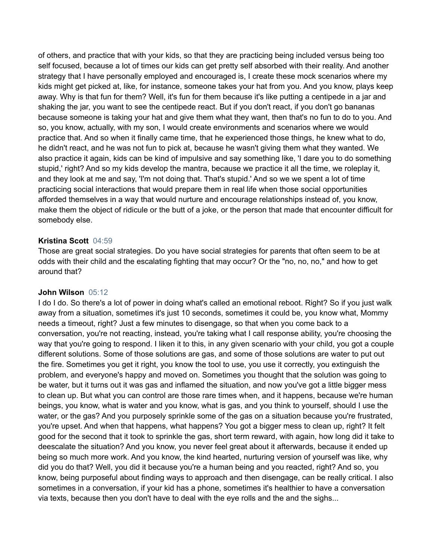of others, and practice that with your kids, so that they are practicing being included versus being too self focused, because a lot of times our kids can get pretty self absorbed with their reality. And another strategy that I have personally employed and encouraged is, I create these mock scenarios where my kids might get picked at, like, for instance, someone takes your hat from you. And you know, plays keep away. Why is that fun for them? Well, it's fun for them because it's like putting a centipede in a jar and shaking the jar, you want to see the centipede react. But if you don't react, if you don't go bananas because someone is taking your hat and give them what they want, then that's no fun to do to you. And so, you know, actually, with my son, I would create environments and scenarios where we would practice that. And so when it finally came time, that he experienced those things, he knew what to do, he didn't react, and he was not fun to pick at, because he wasn't giving them what they wanted. We also practice it again, kids can be kind of impulsive and say something like, 'I dare you to do something stupid,' right? And so my kids develop the mantra, because we practice it all the time, we roleplay it, and they look at me and say, 'I'm not doing that. That's stupid.' And so we we spent a lot of time practicing social interactions that would prepare them in real life when those social opportunities afforded themselves in a way that would nurture and encourage relationships instead of, you know, make them the object of ridicule or the butt of a joke, or the person that made that encounter difficult for somebody else.

## **Kristina Scott** 04:59

Those are great social strategies. Do you have social strategies for parents that often seem to be at odds with their child and the escalating fighting that may occur? Or the "no, no, no," and how to get around that?

## **John Wilson** 05:12

I do I do. So there's a lot of power in doing what's called an emotional reboot. Right? So if you just walk away from a situation, sometimes it's just 10 seconds, sometimes it could be, you know what, Mommy needs a timeout, right? Just a few minutes to disengage, so that when you come back to a conversation, you're not reacting, instead, you're taking what I call response ability, you're choosing the way that you're going to respond. I liken it to this, in any given scenario with your child, you got a couple different solutions. Some of those solutions are gas, and some of those solutions are water to put out the fire. Sometimes you get it right, you know the tool to use, you use it correctly, you extinguish the problem, and everyone's happy and moved on. Sometimes you thought that the solution was going to be water, but it turns out it was gas and inflamed the situation, and now you've got a little bigger mess to clean up. But what you can control are those rare times when, and it happens, because we're human beings, you know, what is water and you know, what is gas, and you think to yourself, should I use the water, or the gas? And you purposely sprinkle some of the gas on a situation because you're frustrated, you're upset. And when that happens, what happens? You got a bigger mess to clean up, right? It felt good for the second that it took to sprinkle the gas, short term reward, with again, how long did it take to deescalate the situation? And you know, you never feel great about it afterwards, because it ended up being so much more work. And you know, the kind hearted, nurturing version of yourself was like, why did you do that? Well, you did it because you're a human being and you reacted, right? And so, you know, being purposeful about finding ways to approach and then disengage, can be really critical. I also sometimes in a conversation, if your kid has a phone, sometimes it's healthier to have a conversation via texts, because then you don't have to deal with the eye rolls and the and the sighs...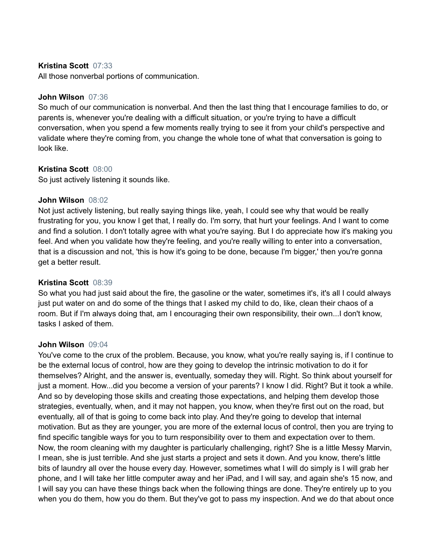## **Kristina Scott** 07:33

All those nonverbal portions of communication.

### **John Wilson** 07:36

So much of our communication is nonverbal. And then the last thing that I encourage families to do, or parents is, whenever you're dealing with a difficult situation, or you're trying to have a difficult conversation, when you spend a few moments really trying to see it from your child's perspective and validate where they're coming from, you change the whole tone of what that conversation is going to look like.

### **Kristina Scott** 08:00

So just actively listening it sounds like.

#### **John Wilson** 08:02

Not just actively listening, but really saying things like, yeah, I could see why that would be really frustrating for you, you know I get that, I really do. I'm sorry, that hurt your feelings. And I want to come and find a solution. I don't totally agree with what you're saying. But I do appreciate how it's making you feel. And when you validate how they're feeling, and you're really willing to enter into a conversation, that is a discussion and not, 'this is how it's going to be done, because I'm bigger,' then you're gonna get a better result.

#### **Kristina Scott** 08:39

So what you had just said about the fire, the gasoline or the water, sometimes it's, it's all I could always just put water on and do some of the things that I asked my child to do, like, clean their chaos of a room. But if I'm always doing that, am I encouraging their own responsibility, their own...I don't know, tasks I asked of them.

#### **John Wilson** 09:04

You've come to the crux of the problem. Because, you know, what you're really saying is, if I continue to be the external locus of control, how are they going to develop the intrinsic motivation to do it for themselves? Alright, and the answer is, eventually, someday they will. Right. So think about yourself for just a moment. How...did you become a version of your parents? I know I did. Right? But it took a while. And so by developing those skills and creating those expectations, and helping them develop those strategies, eventually, when, and it may not happen, you know, when they're first out on the road, but eventually, all of that is going to come back into play. And they're going to develop that internal motivation. But as they are younger, you are more of the external locus of control, then you are trying to find specific tangible ways for you to turn responsibility over to them and expectation over to them. Now, the room cleaning with my daughter is particularly challenging, right? She is a little Messy Marvin, I mean, she is just terrible. And she just starts a project and sets it down. And you know, there's little bits of laundry all over the house every day. However, sometimes what I will do simply is I will grab her phone, and I will take her little computer away and her iPad, and I will say, and again she's 15 now, and I will say you can have these things back when the following things are done. They're entirely up to you when you do them, how you do them. But they've got to pass my inspection. And we do that about once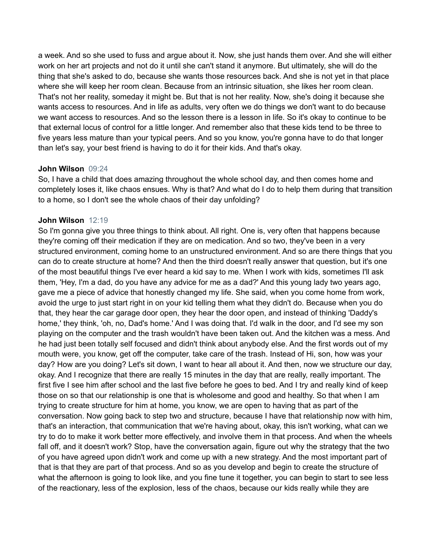a week. And so she used to fuss and argue about it. Now, she just hands them over. And she will either work on her art projects and not do it until she can't stand it anymore. But ultimately, she will do the thing that she's asked to do, because she wants those resources back. And she is not yet in that place where she will keep her room clean. Because from an intrinsic situation, she likes her room clean. That's not her reality, someday it might be. But that is not her reality. Now, she's doing it because she wants access to resources. And in life as adults, very often we do things we don't want to do because we want access to resources. And so the lesson there is a lesson in life. So it's okay to continue to be that external locus of control for a little longer. And remember also that these kids tend to be three to five years less mature than your typical peers. And so you know, you're gonna have to do that longer than let's say, your best friend is having to do it for their kids. And that's okay.

### **John Wilson** 09:24

So, I have a child that does amazing throughout the whole school day, and then comes home and completely loses it, like chaos ensues. Why is that? And what do I do to help them during that transition to a home, so I don't see the whole chaos of their day unfolding?

## **John Wilson** 12:19

So I'm gonna give you three things to think about. All right. One is, very often that happens because they're coming off their medication if they are on medication. And so two, they've been in a very structured environment, coming home to an unstructured environment. And so are there things that you can do to create structure at home? And then the third doesn't really answer that question, but it's one of the most beautiful things I've ever heard a kid say to me. When I work with kids, sometimes I'll ask them, 'Hey, I'm a dad, do you have any advice for me as a dad?' And this young lady two years ago, gave me a piece of advice that honestly changed my life. She said, when you come home from work, avoid the urge to just start right in on your kid telling them what they didn't do. Because when you do that, they hear the car garage door open, they hear the door open, and instead of thinking 'Daddy's home,' they think, 'oh, no, Dad's home.' And I was doing that. I'd walk in the door, and I'd see my son playing on the computer and the trash wouldn't have been taken out. And the kitchen was a mess. And he had just been totally self focused and didn't think about anybody else. And the first words out of my mouth were, you know, get off the computer, take care of the trash. Instead of Hi, son, how was your day? How are you doing? Let's sit down, I want to hear all about it. And then, now we structure our day, okay. And I recognize that there are really 15 minutes in the day that are really, really important. The first five I see him after school and the last five before he goes to bed. And I try and really kind of keep those on so that our relationship is one that is wholesome and good and healthy. So that when I am trying to create structure for him at home, you know, we are open to having that as part of the conversation. Now going back to step two and structure, because I have that relationship now with him, that's an interaction, that communication that we're having about, okay, this isn't working, what can we try to do to make it work better more effectively, and involve them in that process. And when the wheels fall off, and it doesn't work? Stop, have the conversation again, figure out why the strategy that the two of you have agreed upon didn't work and come up with a new strategy. And the most important part of that is that they are part of that process. And so as you develop and begin to create the structure of what the afternoon is going to look like, and you fine tune it together, you can begin to start to see less of the reactionary, less of the explosion, less of the chaos, because our kids really while they are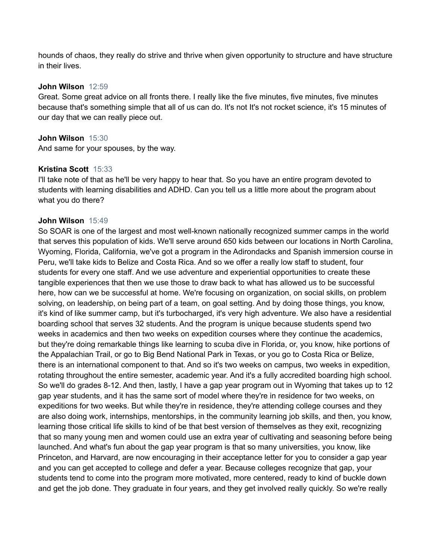hounds of chaos, they really do strive and thrive when given opportunity to structure and have structure in their lives.

### **John Wilson** 12:59

Great. Some great advice on all fronts there. I really like the five minutes, five minutes, five minutes because that's something simple that all of us can do. It's not It's not rocket science, it's 15 minutes of our day that we can really piece out.

## **John Wilson** 15:30

And same for your spouses, by the way.

## **Kristina Scott** 15:33

I'll take note of that as he'll be very happy to hear that. So you have an entire program devoted to students with learning disabilities and ADHD. Can you tell us a little more about the program about what you do there?

## **John Wilson** 15:49

So SOAR is one of the largest and most well-known nationally recognized summer camps in the world that serves this population of kids. We'll serve around 650 kids between our locations in North Carolina, Wyoming, Florida, California, we've got a program in the Adirondacks and Spanish immersion course in Peru, we'll take kids to Belize and Costa Rica. And so we offer a really low staff to student, four students for every one staff. And we use adventure and experiential opportunities to create these tangible experiences that then we use those to draw back to what has allowed us to be successful here, how can we be successful at home. We're focusing on organization, on social skills, on problem solving, on leadership, on being part of a team, on goal setting. And by doing those things, you know, it's kind of like summer camp, but it's turbocharged, it's very high adventure. We also have a residential boarding school that serves 32 students. And the program is unique because students spend two weeks in academics and then two weeks on expedition courses where they continue the academics, but they're doing remarkable things like learning to scuba dive in Florida, or, you know, hike portions of the Appalachian Trail, or go to Big Bend National Park in Texas, or you go to Costa Rica or Belize, there is an international component to that. And so it's two weeks on campus, two weeks in expedition, rotating throughout the entire semester, academic year. And it's a fully accredited boarding high school. So we'll do grades 8-12. And then, lastly, I have a gap year program out in Wyoming that takes up to 12 gap year students, and it has the same sort of model where they're in residence for two weeks, on expeditions for two weeks. But while they're in residence, they're attending college courses and they are also doing work, internships, mentorships, in the community learning job skills, and then, you know, learning those critical life skills to kind of be that best version of themselves as they exit, recognizing that so many young men and women could use an extra year of cultivating and seasoning before being launched. And what's fun about the gap year program is that so many universities, you know, like Princeton, and Harvard, are now encouraging in their acceptance letter for you to consider a gap year and you can get accepted to college and defer a year. Because colleges recognize that gap, your students tend to come into the program more motivated, more centered, ready to kind of buckle down and get the job done. They graduate in four years, and they get involved really quickly. So we're really